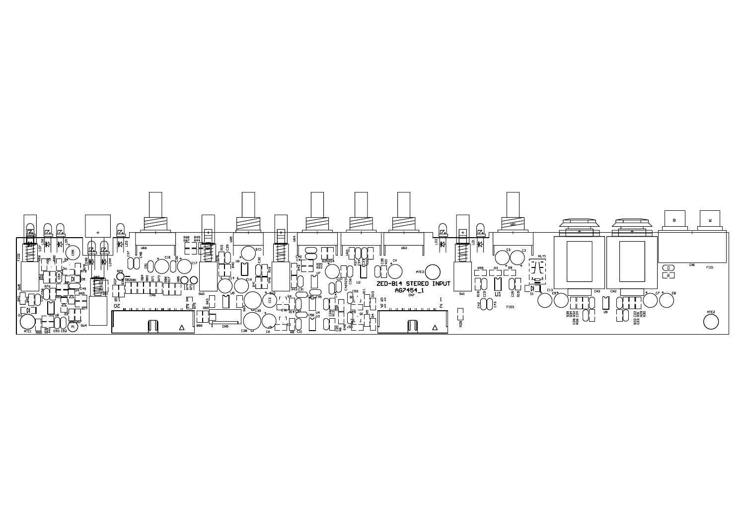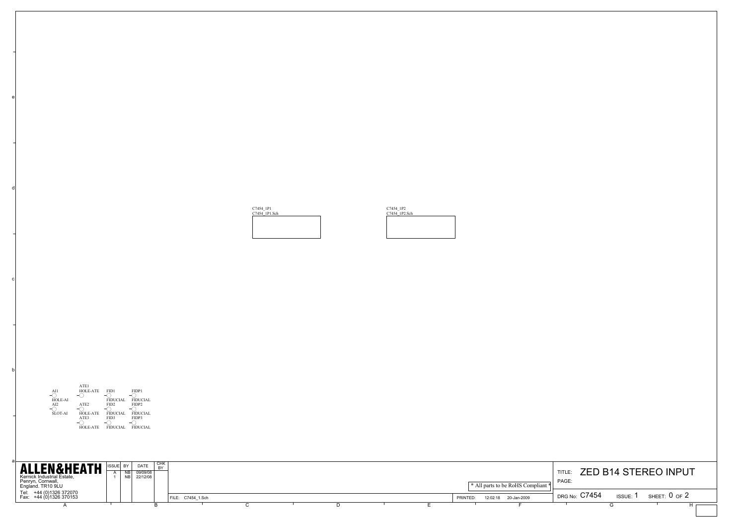

e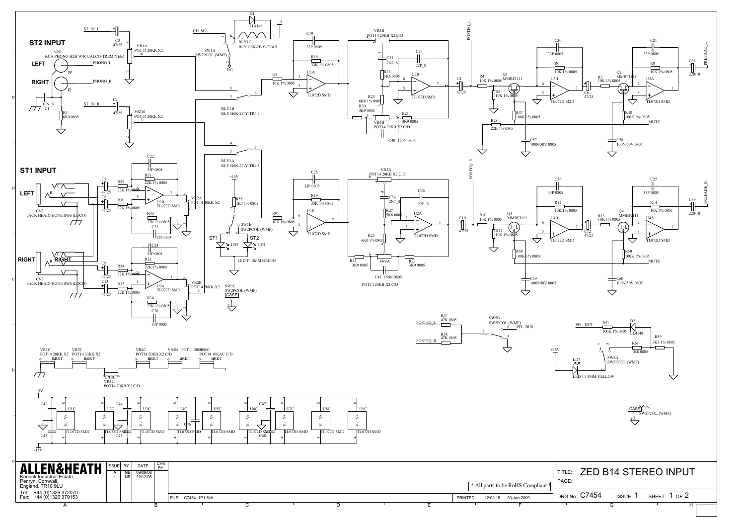